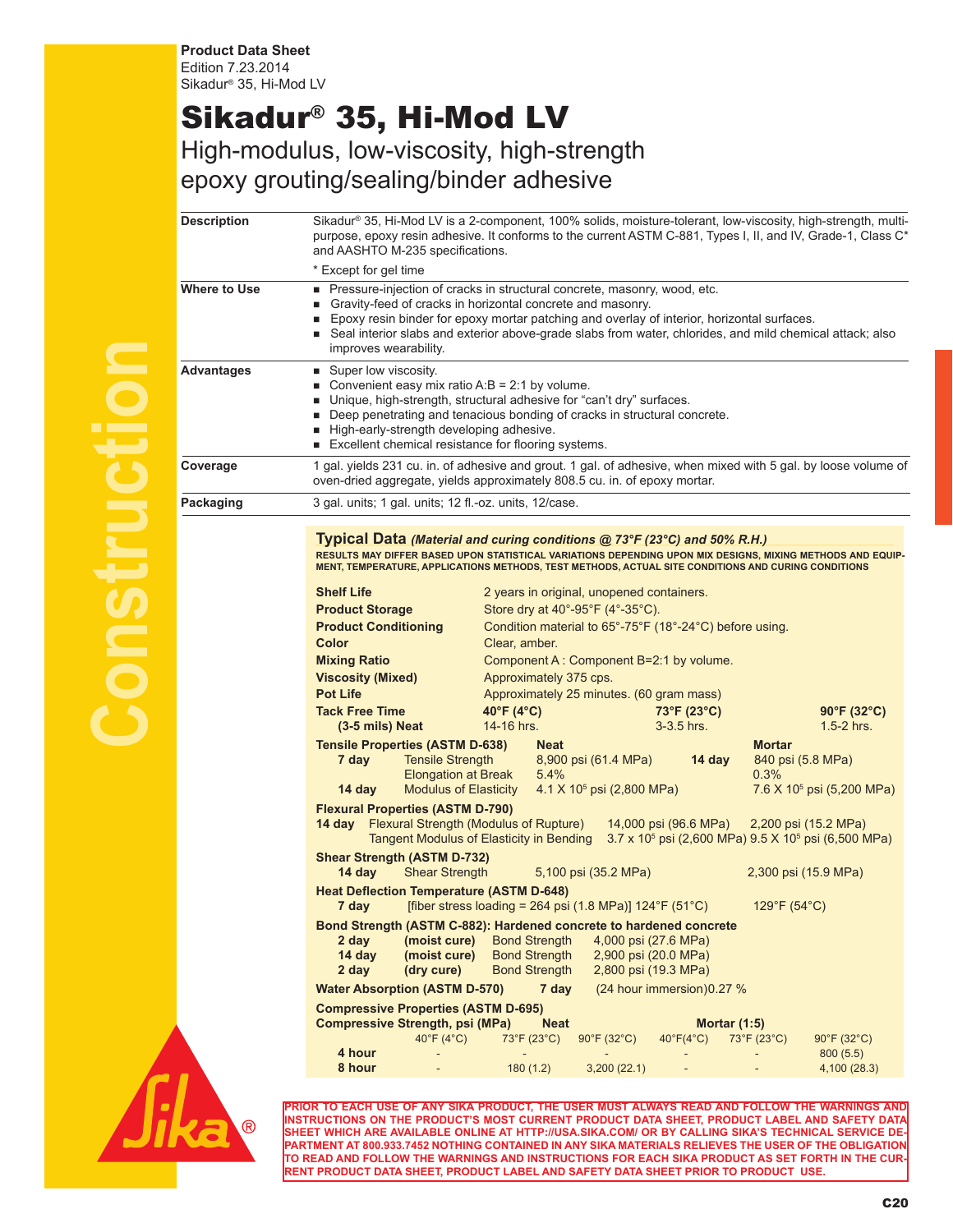**Product Data Sheet** Edition 7.23.2014 Sikadur® 35, Hi-Mod LV

## Sikadur® 35, Hi-Mod LV

High-modulus, low-viscosity, high-strength epoxy grouting/sealing/binder adhesive

| Description  | Sikadur® 35, Hi-Mod LV is a 2-component, 100% solids, moisture-tolerant, low-viscosity, high-strength, multi-<br>purpose, epoxy resin adhesive. It conforms to the current ASTM C-881, Types I, II, and IV, Grade-1, Class C <sup>*</sup><br>and AASHTO M-235 specifications.                                                                                                                                                                                                                                                                                                                                                                                                                                                                                                                                                                                                                                                                                                                                                                                                                                                                                                                                                                        |  |
|--------------|------------------------------------------------------------------------------------------------------------------------------------------------------------------------------------------------------------------------------------------------------------------------------------------------------------------------------------------------------------------------------------------------------------------------------------------------------------------------------------------------------------------------------------------------------------------------------------------------------------------------------------------------------------------------------------------------------------------------------------------------------------------------------------------------------------------------------------------------------------------------------------------------------------------------------------------------------------------------------------------------------------------------------------------------------------------------------------------------------------------------------------------------------------------------------------------------------------------------------------------------------|--|
|              | * Except for gel time                                                                                                                                                                                                                                                                                                                                                                                                                                                                                                                                                                                                                                                                                                                                                                                                                                                                                                                                                                                                                                                                                                                                                                                                                                |  |
| Where to Use | Pressure-injection of cracks in structural concrete, masonry, wood, etc.<br>Gravity-feed of cracks in horizontal concrete and masonry.<br>٠<br>■ Epoxy resin binder for epoxy mortar patching and overlay of interior, horizontal surfaces.<br>■ Seal interior slabs and exterior above-grade slabs from water, chlorides, and mild chemical attack; also<br>improves wearability.                                                                                                                                                                                                                                                                                                                                                                                                                                                                                                                                                                                                                                                                                                                                                                                                                                                                   |  |
| Advantages   | ■ Super low viscosity.<br>Convenient easy mix ratio A:B = 2:1 by volume.<br>■ Unique, high-strength, structural adhesive for "can't dry" surfaces.<br>Deep penetrating and tenacious bonding of cracks in structural concrete.<br>High-early-strength developing adhesive.<br>Excellent chemical resistance for flooring systems.                                                                                                                                                                                                                                                                                                                                                                                                                                                                                                                                                                                                                                                                                                                                                                                                                                                                                                                    |  |
| Coverage     | 1 gal. yields 231 cu. in. of adhesive and grout. 1 gal. of adhesive, when mixed with 5 gal. by loose volume of<br>oven-dried aggregate, yields approximately 808.5 cu. in. of epoxy mortar.                                                                                                                                                                                                                                                                                                                                                                                                                                                                                                                                                                                                                                                                                                                                                                                                                                                                                                                                                                                                                                                          |  |
| Packaging    | 3 gal. units; 1 gal. units; 12 fl.-oz. units, 12/case.                                                                                                                                                                                                                                                                                                                                                                                                                                                                                                                                                                                                                                                                                                                                                                                                                                                                                                                                                                                                                                                                                                                                                                                               |  |
|              | <b>Typical Data</b> (Material and curing conditions $@$ 73°F (23°C) and 50% R.H.)<br>RESULTS MAY DIFFER BASED UPON STATISTICAL VARIATIONS DEPENDING UPON MIX DESIGNS, MIXING METHODS AND EQUIP-<br>MENT, TEMPERATURE, APPLICATIONS METHODS, TEST METHODS, ACTUAL SITE CONDITIONS AND CURING CONDITIONS<br><b>Shelf Life</b><br>2 years in original, unopened containers.<br>Store dry at $40^{\circ}$ -95°F (4°-35°C).<br><b>Product Storage</b><br><b>Product Conditioning</b><br>Condition material to 65°-75°F (18°-24°C) before using.<br>Color<br>Clear, amber.<br>Component A: Component B=2:1 by volume.<br><b>Mixing Ratio</b><br><b>Viscosity (Mixed)</b><br>Approximately 375 cps.<br><b>Pot Life</b><br>Approximately 25 minutes. (60 gram mass)<br><b>Tack Free Time</b><br>40°F (4°C)<br>73°F (23°C)<br>$90^{\circ}$ F (32°C)<br>14-16 hrs.<br>3-3.5 hrs.<br>$1.5-2$ hrs.<br>(3-5 mils) Neat<br><b>Tensile Properties (ASTM D-638)</b><br><b>Mortar</b><br><b>Neat</b><br><b>Tensile Strength</b><br>7 day<br>8,900 psi (61.4 MPa)<br>14 day<br>840 psi (5.8 MPa)<br><b>Elongation at Break</b><br>0.3%<br>5.4%<br><b>Modulus of Elasticity</b><br>$4.1 \times 10^5$ psi (2,800 MPa)<br>7.6 X 10 <sup>5</sup> psi (5,200 MPa)<br>14 day |  |
|              | <b>Flexural Properties (ASTM D-790)</b><br><b>14 day</b> Flexural Strength (Modulus of Rupture)<br>14,000 psi (96.6 MPa)<br>2,200 psi (15.2 MPa)<br><b>Tangent Modulus of Elasticity in Bending</b><br>3.7 x 10 <sup>5</sup> psi (2,600 MPa) 9.5 X 10 <sup>5</sup> psi (6,500 MPa)                                                                                                                                                                                                                                                                                                                                                                                                                                                                                                                                                                                                                                                                                                                                                                                                                                                                                                                                                                   |  |
|              | <b>Shear Strength (ASTM D-732)</b><br><b>Shear Strength</b><br>14 day<br>5,100 psi (35.2 MPa)<br>2,300 psi (15.9 MPa)                                                                                                                                                                                                                                                                                                                                                                                                                                                                                                                                                                                                                                                                                                                                                                                                                                                                                                                                                                                                                                                                                                                                |  |
|              | <b>Heat Deflection Temperature (ASTM D-648)</b><br>7 day [fiber stress loading = 264 psi $(1.8 \text{ MPa})$ ] $124^{\circ}$ F $(51^{\circ}$ C)<br>129°F (54°C)                                                                                                                                                                                                                                                                                                                                                                                                                                                                                                                                                                                                                                                                                                                                                                                                                                                                                                                                                                                                                                                                                      |  |
|              | Bond Strength (ASTM C-882): Hardened concrete to hardened concrete<br>2 day<br><b>Bond Strength</b><br>4,000 psi (27.6 MPa)<br>(moist cure)<br>14 day<br><b>Bond Strength</b><br>2,900 psi (20.0 MPa)<br>(moist cure)<br>2 day<br>(dry cure)<br><b>Bond Strength</b><br>2,800 psi (19.3 MPa)                                                                                                                                                                                                                                                                                                                                                                                                                                                                                                                                                                                                                                                                                                                                                                                                                                                                                                                                                         |  |
|              | <b>Water Absorption (ASTM D-570)</b><br>(24 hour immersion) 0.27 %<br>7 day                                                                                                                                                                                                                                                                                                                                                                                                                                                                                                                                                                                                                                                                                                                                                                                                                                                                                                                                                                                                                                                                                                                                                                          |  |
|              | <b>Compressive Properties (ASTM D-695)</b><br><b>Compressive Strength, psi (MPa)</b><br><b>Neat</b><br>Mortar $(1:5)$<br>40°F (4 $^{\circ}$ C)<br>73°F (23°C)<br>73°F (23°C)<br>90°F (32°C)                                                                                                                                                                                                                                                                                                                                                                                                                                                                                                                                                                                                                                                                                                                                                                                                                                                                                                                                                                                                                                                          |  |
|              | $40^{\circ}F(4^{\circ}C)$<br>$90^{\circ}$ F (32 $^{\circ}$ C)<br>4 hour<br>800(5.5)<br>8 hour<br>180(1.2)<br>3,200(22.1)<br>4,100 (28.3)                                                                                                                                                                                                                                                                                                                                                                                                                                                                                                                                                                                                                                                                                                                                                                                                                                                                                                                                                                                                                                                                                                             |  |
|              |                                                                                                                                                                                                                                                                                                                                                                                                                                                                                                                                                                                                                                                                                                                                                                                                                                                                                                                                                                                                                                                                                                                                                                                                                                                      |  |